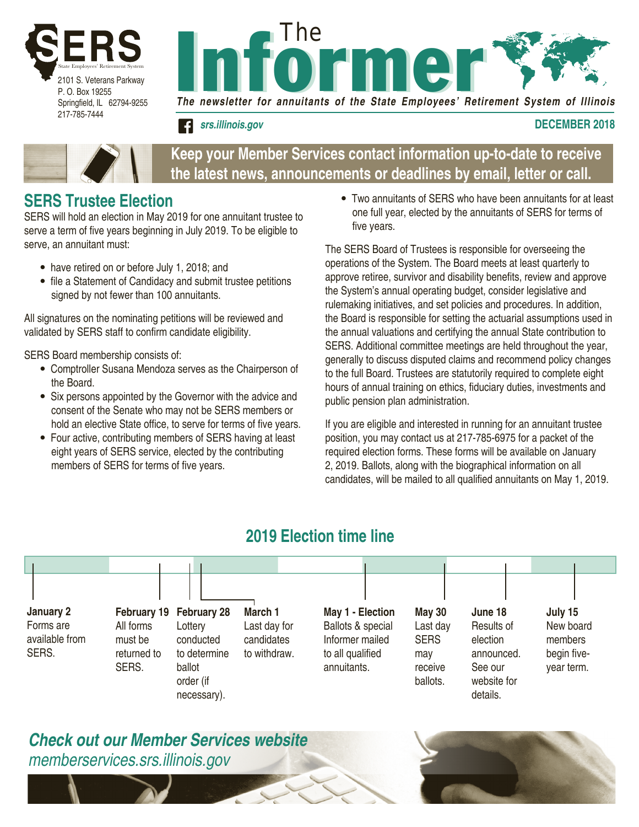



*srs.illinois.gov* **DECEMBER 2018**



| Keep your Member Services contact information up-to-date to receive   |  |
|-----------------------------------------------------------------------|--|
| the latest news, announcements or deadlines by email, letter or call. |  |

# **SERS Trustee Election**

SERS will hold an election in May 2019 for one annuitant trustee to serve a term of five years beginning in July 2019. To be eligible to serve, an annuitant must:

- have retired on or before July 1, 2018; and
- file a Statement of Candidacy and submit trustee petitions signed by not fewer than 100 annuitants.

All signatures on the nominating petitions will be reviewed and validated by SERS staff to confirm candidate eligibility.

SERS Board membership consists of:

- Comptroller Susana Mendoza serves as the Chairperson of the Board.
- Six persons appointed by the Governor with the advice and consent of the Senate who may not be SERS members or hold an elective State office, to serve for terms of five years.
- Four active, contributing members of SERS having at least eight years of SERS service, elected by the contributing members of SERS for terms of five years.

• Two annuitants of SERS who have been annuitants for at least one full year, elected by the annuitants of SERS for terms of five years.

The SERS Board of Trustees is responsible for overseeing the operations of the System. The Board meets at least quarterly to approve retiree, survivor and disability benefits, review and approve the System's annual operating budget, consider legislative and rulemaking initiatives, and set policies and procedures. In addition, the Board is responsible for setting the actuarial assumptions used in the annual valuations and certifying the annual State contribution to SERS. Additional committee meetings are held throughout the year, generally to discuss disputed claims and recommend policy changes to the full Board. Trustees are statutorily required to complete eight hours of annual training on ethics, fiduciary duties, investments and public pension plan administration.

If you are eligible and interested in running for an annuitant trustee position, you may contact us at 217-785-6975 for a packet of the required election forms. These forms will be available on January 2, 2019. Ballots, along with the biographical information on all candidates, will be mailed to all qualified annuitants on May 1, 2019.

# **2019 Election time line**



## *Check out our Member Services website memberservices.srs.illinois.gov*